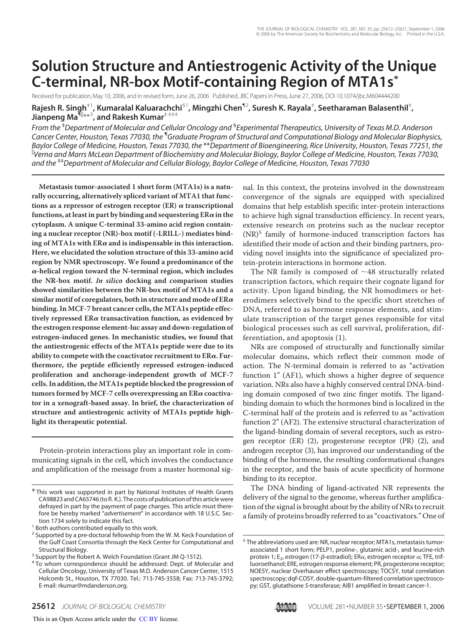# **Solution Structure and Antiestrogenic Activity of the Unique C-terminal, NR-box Motif-containing Region of MTA1s\***

Received for publication, May 10, 2006, and in revised form, June 26, 2006 Published, JBC Papers in Press, June 27, 2006, DOI 10.1074/jbc.M604444200

**Rajesh R. Singh**‡1**, Kumaralal Kaluarachchi**§1**, Mingzhi Chen**¶2**, Suresh K. Rayala**‡ **, Seetharaman Balasenthil**‡ **, Jianpeng Ma<sup>¶||</sup>\*\*<sup>3</sup>, and Rakesh Kumar<sup>‡ ‡‡4</sup>** 

*From the* ‡*Department of Molecular and Cellular Oncology and* § *Experimental Therapeutics, University of Texas M.D. Anderson Cancer Center, Houston, Texas 77030, the* ¶*Graduate Program of Structural and Computational Biology and Molecular Biophysics, Baylor College of Medicine, Houston, Texas 77030, the* \*\**Department of Bioengineering, Rice University, Houston, Texas 77251, the Verna and Marrs McLean Department of Biochemistry and Molecular Biology, Baylor College of Medicine, Houston, Texas 77030, and the* ‡‡*Department of Molecular and Cellular Biology, Baylor College of Medicine, Houston, Texas 77030*

**Metastasis tumor-associated 1 short form (MTA1s) is a naturally occurring, alternatively spliced variant of MTA1 that func**tions as a repressor of estrogen receptor  $(ER)$   $\alpha$  transcriptional functions, at least in part by binding and sequestering  $ER\alpha$  in the **cytoplasm. A unique C-terminal 33-amino acid region containing a nuclear receptor (NR)-box motif (-LRILL-) mediates bind**ing of MTA1s with  $ER\alpha$  and is indispensable in this interaction. **Here, we elucidated the solution structure of this 33-amino acid region by NMR spectroscopy. We found a predominance of the -helical region toward the N-terminal region, which includes the NR-box motif. In silico docking and comparison studies showed similarities between the NR-box motif of MTA1s and a similar motif of coregulators, both in structure and mode of ER binding. In MCF-7 breast cancer cells, the MTA1s peptide effectively repressed ER transactivation function, as evidenced by the estrogen response element-luc assay and down-regulation of estrogen-induced genes. In mechanistic studies, we found that the antiestrogenic effects of the MTA1s peptide were due to its ability to compete with the coactivator recruitment to ER. Furthermore, the peptide efficiently repressed estrogen-induced proliferation and anchorage-independent growth of MCF-7 cells. In addition, the MTA1s peptide blocked the progression of** tumors formed by MCF-7 cells overexpressing an ER $\alpha$  coactiva**tor in a xenograft-based assay. In brief, the characterization of structure and antiestrogenic activity of MTA1s peptide highlight its therapeutic potential.**

Protein-protein interactions play an important role in communicating signals in the cell, which involves the conductance and amplification of the message from a master hormonal signal. In this context, the proteins involved in the downstream convergence of the signals are equipped with specialized domains that help establish specific inter-protein interactions to achieve high signal transduction efficiency. In recent years, extensive research on proteins such as the nuclear receptor (NR)<sup>5</sup> family of hormone-induced transcription factors has identified their mode of action and their binding partners, providing novel insights into the significance of specialized protein-protein interactions in hormone action.

The NR family is composed of  $~148$  structurally related transcription factors, which require their cognate ligand for activity. Upon ligand binding, the NR homodimers or heterodimers selectively bind to the specific short stretches of DNA, referred to as hormone response elements, and stimulate transcription of the target genes responsible for vital biological processes such as cell survival, proliferation, differentiation, and apoptosis (1).

NRs are composed of structurally and functionally similar molecular domains, which reflect their common mode of action. The N-terminal domain is referred to as "activation function 1" (AF1), which shows a higher degree of sequence variation. NRs also have a highly conserved central DNA-binding domain composed of two zinc finger motifs. The ligandbinding domain to which the hormones bind is localized in the C-terminal half of the protein and is referred to as "activation function 2" (AF2). The extensive structural characterization of the ligand-binding domain of several receptors, such as estrogen receptor (ER) (2), progesterone receptor (PR) (2), and androgen receptor (3), has improved our understanding of the binding of the hormone, the resulting conformational changes in the receptor, and the basis of acute specificity of hormone binding to its receptor.

The DNA binding of ligand-activated NR represents the delivery of the signal to the genome, whereas further amplification of the signal is brought about by the ability of NRs to recruit a family of proteins broadly referred to as "coactivators." One of

<sup>&</sup>lt;sup>5</sup> The abbreviations used are: NR, nuclear receptor; MTA1s, metastasis tumorassociated 1 short form; PELP1, proline-, glutamic acid-, and leucine-rich protein 1; E<sub>2</sub>, estrogen (17-β-estradiol); ERα, estrogen receptor  $α$ ; TFE, trifluoroethanol; ERE, estrogen response element; PR, progesterone receptor; NOESY, nuclear Overhauser effect spectroscopy; TOCSY, total correlation spectroscopy; dqf-COSY, double-quantum-filtered correlation spectroscopy; GST, glutathione *S*-transferase; AIB1 amplified in breast cancer-1.



<sup>\*</sup> This work was supported in part by National Institutes of Health Grants CA98823 and CA65746 (to R. K.). The costs of publication of this article were defrayed in part by the payment of page charges. This article must therefore be hereby marked "*advertisement*" in accordance with 18 U.S.C. Section 1734 solely to indicate this fact.

<sup>&</sup>lt;sup>1</sup> Both authors contributed equally to this work.

<sup>&</sup>lt;sup>2</sup> Supported by a pre-doctoral fellowship from the W. M. Keck Foundation of the Gulf Coast Consortia through the Keck Center for Computational and Structural Biology.

<sup>&</sup>lt;sup>3</sup> Support by the Robert A. Welch Foundation (Grant JM Q-1512).

<sup>&</sup>lt;sup>4</sup> To whom correspondence should be addressed: Dept. of Molecular and Cellular Oncology, University of Texas M.D. Anderson Cancer Center, 1515 Holcomb St., Houston, TX 77030. Tel.: 713-745-3558; Fax: 713-745-3792; E-mail: rkumar@mdanderson.org.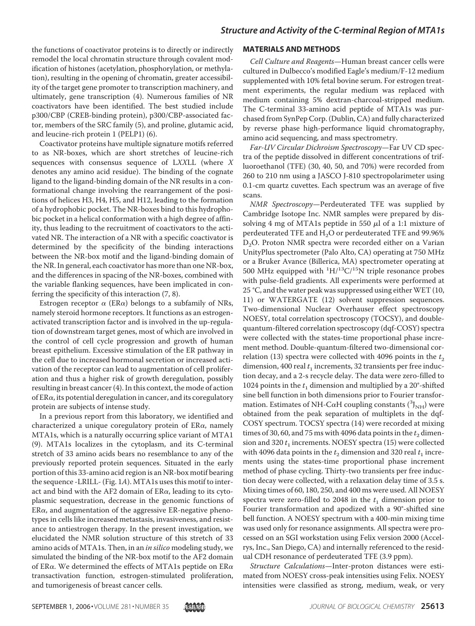the functions of coactivator proteins is to directly or indirectly remodel the local chromatin structure through covalent modification of histones (acetylation, phosphorylation, or methylation), resulting in the opening of chromatin, greater accessibility of the target gene promoter to transcription machinery, and ultimately, gene transcription (4). Numerous families of NR coactivators have been identified. The best studied include p300/CBP (CREB-binding protein), p300/CBP-associated factor, members of the SRC family (5), and proline, glutamic acid, and leucine-rich protein 1 (PELP1) (6).

Coactivator proteins have multiple signature motifs referred to as NR-boxes, which are short stretches of leucine-rich sequences with consensus sequence of LXXLL (where X denotes any amino acid residue). The binding of the cognate ligand to the ligand-binding domain of the NR results in a conformational change involving the rearrangement of the positions of helices H3, H4, H5, and H12, leading to the formation of a hydrophobic pocket. The NR-boxes bind to this hydrophobic pocket in a helical conformation with a high degree of affinity, thus leading to the recruitment of coactivators to the activated NR. The interaction of a NR with a specific coactivator is determined by the specificity of the binding interactions between the NR-box motif and the ligand-binding domain of the NR. In general, each coactivator has more than one NR-box, and the differences in spacing of the NR-boxes, combined with the variable flanking sequences, have been implicated in conferring the specificity of this interaction (7, 8).

Estrogen receptor  $\alpha$  (ER $\alpha$ ) belongs to a subfamily of NRs, namely steroid hormone receptors. It functions as an estrogenactivated transcription factor and is involved in the up-regulation of downstream target genes, most of which are involved in the control of cell cycle progression and growth of human breast epithelium. Excessive stimulation of the ER pathway in the cell due to increased hormonal secretion or increased activation of the receptor can lead to augmentation of cell proliferation and thus a higher risk of growth deregulation, possibly resulting in breast cancer (4). In this context, the mode of action of  $ER\alpha$ , its potential deregulation in cancer, and its coregulatory protein are subjects of intense study.

In a previous report from this laboratory, we identified and characterized a unique coregulatory protein of  $ER\alpha$ , namely MTA1s, which is a naturally occurring splice variant of MTA1 (9). MTA1s localizes in the cytoplasm, and its C-terminal stretch of 33 amino acids bears no resemblance to any of the previously reported protein sequences. Situated in the early portion of this 33-amino acid region is an NR-box motif bearing the sequence -LRILL- (Fig. 1A). MTA1s uses this motif to interact and bind with the AF2 domain of  $ER\alpha$ , leading to its cytoplasmic sequestration, decrease in the genomic functions of  $ER\alpha$ , and augmentation of the aggressive ER-negative phenotypes in cells like increased metastasis, invasiveness, and resistance to antiestrogen therapy. In the present investigation, we elucidated the NMR solution structure of this stretch of 33 amino acids of MTA1s. Then, in an *in silico* modeling study, we simulated the binding of the NR-box motif to the AF2 domain of ER $\alpha$ . We determined the effects of MTA1s peptide on ER $\alpha$ transactivation function, estrogen-stimulated proliferation, and tumorigenesis of breast cancer cells.

### **MATERIALS AND METHODS**

Cell Culture and Reagents—Human breast cancer cells were cultured in Dulbecco's modified Eagle's medium/F-12 medium supplemented with 10% fetal bovine serum. For estrogen treatment experiments, the regular medium was replaced with medium containing 5% dextran-charcoal-stripped medium. The C-terminal 33-amino acid peptide of MTA1s was purchased from SynPep Corp. (Dublin, CA) and fully characterized by reverse phase high-performance liquid chromatography, amino acid sequencing, and mass spectrometry.

Far-UV Circular Dichroism Spectroscopy—Far UV CD spectra of the peptide dissolved in different concentrations of trifluoroethanol (TFE) (30, 40, 50, and 70%) were recorded from 260 to 210 nm using a JASCO J-810 spectropolarimeter using 0.1-cm quartz cuvettes. Each spectrum was an average of five scans.

NMR Spectroscopy—Perdeuterated TFE was supplied by Cambridge Isotope Inc. NMR samples were prepared by dissolving 4 mg of MTA1s peptide in 550  $\mu$ l of a 1:1 mixture of perdeuterated TFE and  $H<sub>2</sub>O$  or perdeuterated TFE and 99.96% D<sub>2</sub>O. Proton NMR spectra were recorded either on a Varian UnityPlus spectrometer (Palo Alto, CA) operating at 750 MHz or a Bruker Avance (Billerica, MA) spectrometer operating at 500 MHz equipped with  ${}^{1}H/{}^{13}C/{}^{15}N$  triple resonance probes with pulse-field gradients. All experiments were performed at 25 °C, and the water peak was suppressed using either WET (10, 11) or WATERGATE (12) solvent suppression sequences. Two-dimensional Nuclear Overhauser effect spectroscopy NOESY, total correlation spectroscopy (TOCSY), and doublequantum-filtered correlation spectroscopy (dqf-COSY) spectra were collected with the states-time proportional phase increment method. Double-quantum-filtered two-dimensional correlation (13) spectra were collected with 4096 points in the  $t<sub>2</sub>$ dimension, 400 real  $t_1$  increments, 32 transients per free induction decay, and a 2-s recycle delay. The data were zero-filled to 1024 points in the  $t_1$  dimension and multiplied by a 20°-shifted sine bell function in both dimensions prior to Fourier transformation. Estimates of NH-C $\alpha$ H coupling constants  $({}^3{\rm J}_{\rm NH})$  were obtained from the peak separation of multiplets in the dqf-COSY spectrum. TOCSY spectra (14) were recorded at mixing times of 30, 60, and 75 ms with 4096 data points in the  $t_2$  dimension and 320  $t_1$  increments. NOESY spectra (15) were collected with 4096 data points in the  $t_2$  dimension and 320 real  $t_1$  increments using the states-time proportional phase increment method of phase cycling. Thirty-two transients per free induction decay were collected, with a relaxation delay time of 3.5 s. Mixing times of 60, 180, 250, and 400 ms were used. All NOESY spectra were zero-filled to 2048 in the  $t_1$  dimension prior to Fourier transformation and apodized with a 90°-shifted sine bell function. A NOESY spectrum with a 400-min mixing time was used only for resonance assignments. All spectra were processed on an SGI workstation using Felix version 2000 (Accelrys, Inc., San Diego, CA) and internally referenced to the residual CDH resonance of perdeuterated TFE (3.9 ppm).

Structure Calculations—Inter-proton distances were estimated from NOESY cross-peak intensities using Felix. NOESY intensities were classified as strong, medium, weak, or very

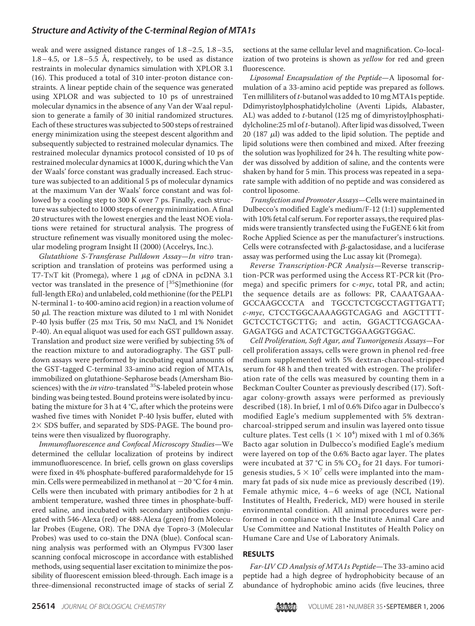weak and were assigned distance ranges of 1.8–2.5, 1.8–3.5,  $1.8-4.5$ , or  $1.8-5.5$  Å, respectively, to be used as distance restraints in molecular dynamics simulation with XPLOR 3.1 (16). This produced a total of 310 inter-proton distance constraints. A linear peptide chain of the sequence was generated using XPLOR and was subjected to 10 ps of unrestrained molecular dynamics in the absence of any Van der Waal repulsion to generate a family of 30 initial randomized structures. Each of these structures was subjected to 500 steps of restrained energy minimization using the steepest descent algorithm and subsequently subjected to restrained molecular dynamics. The restrained molecular dynamics protocol consisted of 10 ps of restrained molecular dynamics at 1000 K, during which the Van der Waals' force constant was gradually increased. Each structure was subjected to an additional 5 ps of molecular dynamics at the maximum Van der Waals' force constant and was followed by a cooling step to 300 K over 7 ps. Finally, each structure was subjected to 1000 steps of energy minimization. A final 20 structures with the lowest energies and the least NOE violations were retained for structural analysis. The progress of structure refinement was visually monitored using the molecular modeling program Insight II (2000) (Accelrys, Inc.).

Glutathione S-Transferase Pulldown Assay—In vitro transcription and translation of proteins was performed using a T7-TNT kit (Promega), where  $1 \mu$ g of cDNA in pcDNA 3.1 vector was translated in the presence of  $[^{35}S]$ methionine (for full-length  $ER\alpha$ ) and unlabeled, cold methionine (for the PELP1 N-terminal 1- to 400-amino acid region) in a reaction volume of 50  $\mu$ l. The reaction mixture was diluted to 1 ml with Nonidet P-40 lysis buffer (25 mm Tris, 50 mm NaCl, and 1% Nonidet P-40). An equal aliquot was used for each GST pulldown assay. Translation and product size were verified by subjecting 5% of the reaction mixture to and autoradiography. The GST pulldown assays were performed by incubating equal amounts of the GST-tagged C-terminal 33-amino acid region of MTA1s, immobilized on glutathione-Sepharose beads (Amersham Biosciences) with the in vitro-translated <sup>35</sup>S-labeled protein whose binding was being tested. Bound proteins were isolated by incubating the mixture for 3 h at  $4 °C$ , after which the proteins were washed five times with Nonidet P-40 lysis buffer, eluted with 2× SDS buffer, and separated by SDS-PAGE. The bound proteins were then visualized by fluorography.

Immunofluorescence and Confocal Microscopy Studies—We determined the cellular localization of proteins by indirect immunofluorescence. In brief, cells grown on glass coverslips were fixed in 4% phosphate-buffered paraformaldehyde for 15 min. Cells were permeabilized in methanol at  $-20$  °C for 4 min. Cells were then incubated with primary antibodies for 2 h at ambient temperature, washed three times in phosphate-buffered saline, and incubated with secondary antibodies conjugated with 546-Alexa (red) or 488-Alexa (green) from Molecular Probes (Eugene, OR). The DNA dye Topro-3 (Molecular Probes) was used to co-stain the DNA (blue). Confocal scanning analysis was performed with an Olympus FV300 laser scanning confocal microscope in accordance with established methods, using sequential laser excitation to minimize the possibility of fluorescent emission bleed-through. Each image is a three-dimensional reconstructed image of stacks of serial Z

sections at the same cellular level and magnification. Co-localization of two proteins is shown as *yellow* for red and green fluorescence.

Liposomal Encapsulation of the Peptide—A liposomal formulation of a 33-amino acid peptide was prepared as follows. Ten milliliters of t-butanol was added to 10 mg MTA1s peptide. Ddimyristoylphosphatidylcholine (Aventi Lipids, Alabaster, AL) was added to t-butanol (125 mg of dimyristoylphosphatidylcholine:25 ml of t-butanol). After lipid was dissolved, Tween 20 (187  $\mu$ l) was added to the lipid solution. The peptide and lipid solutions were then combined and mixed. After freezing the solution was lyophilized for 24 h. The resulting white powder was dissolved by addition of saline, and the contents were shaken by hand for 5 min. This process was repeated in a separate sample with addition of no peptide and was considered as control liposome.

Transfection and Promoter Assays—Cells were maintained in Dulbecco's modified Eagle's medium/F-12 (1:1) supplemented with 10% fetal calf serum. For reporter assays, the required plasmids were transiently transfected using the FuGENE 6 kit from Roche Applied Science as per the manufacturer's instructions. Cells were cotransfected with  $\beta$ -galactosidase, and a luciferase assay was performed using the Luc assay kit (Promega).

Reverse Transcription-PCR Analysis—Reverse transcription-PCR was performed using the Access RT-PCR kit (Promega) and specific primers for c-myc, total PR, and actin; the sequence details are as follows: PR, CAAATGAAA-GCCAAGCCCTA and TGCCTCTCGCCTAGTTGATT; c-myc, CTCCTGGCAAAAGGTCAGAG and AGCTTTT-GCTCCTCTGCTTG; and actin, GGACTTCGAGCAA-GAGATGG and ACATCTGCTGGAAGGTGGAC.

Cell Proliferation, Soft Agar, and Tumorigenesis Assays—For cell proliferation assays, cells were grown in phenol red-free medium supplemented with 5% dextran-charcoal-stripped serum for 48 h and then treated with estrogen. The proliferation rate of the cells was measured by counting them in a Beckman Coulter Counter as previously described (17). Softagar colony-growth assays were performed as previously described (18). In brief, 1 ml of 0.6% Difco agar in Dulbecco's modified Eagle's medium supplemented with 5% dextrancharcoal-stripped serum and insulin was layered onto tissue culture plates. Test cells  $(1 \times 10^4)$  mixed with 1 ml of 0.36% Bacto agar solution in Dulbecco's modified Eagle's medium were layered on top of the 0.6% Bacto agar layer. The plates were incubated at 37 °C in 5%  $\mathrm{CO}_2$  for 21 days. For tumorigenesis studies,  $5 \times 10^7$  cells were implanted into the mammary fat pads of six nude mice as previously described (19). Female athymic mice,  $4-6$  weeks of age (NCI, National Institutes of Health, Frederick, MD) were housed in sterile environmental condition. All animal procedures were performed in compliance with the Institute Animal Care and Use Committee and National Institutes of Health Policy on Humane Care and Use of Laboratory Animals.

### **RESULTS**

Far-UV CD Analysis of MTA1s Peptide—The 33-amino acid peptide had a high degree of hydrophobicity because of an abundance of hydrophobic amino acids (five leucines, three

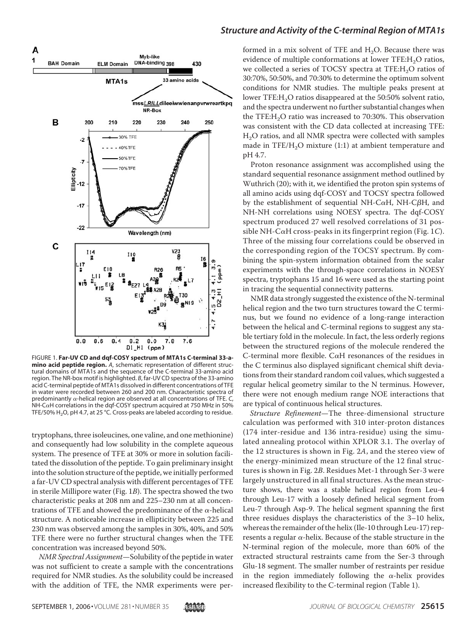

FIGURE 1. **Far-UV CD and dqf-COSY spectrum of MTA1s C-terminal 33-amino acid peptide region.** *A*, schematic representation of different structural domains of MTA1s and the sequence of the C-terminal 33-amino acid region. The NR-box motif is highlighted. *B*, far-UV CD spectra of the 33-amino acid C-terminal peptide of MTA1s dissolved in different concentrations of TFE in water were recorded between 260 and 200 nm. Characteristic spectra of predominantly  $\alpha$ -helical region are observed at all concentrations of TFE.  $C$ , NH-C $\alpha$ H correlations in the dqf-COSY spectrum acquired at 750 MHz in 50% TFE/50%  $H_2O$ , pH 4.7, at 25 °C. Cross-peaks are labeled according to residue.

tryptophans, three isoleucines, one valine, and one methionine) and consequently had low solubility in the complete aqueous system. The presence of TFE at 30% or more in solution facilitated the dissolution of the peptide. To gain preliminary insight into the solution structure of the peptide, we initially performed a far-UV CD spectral analysis with different percentages of TFE in sterile Millipore water (Fig. 1B). The spectra showed the two characteristic peaks at 208 nm and 225–230 nm at all concentrations of TFE and showed the predominance of the  $\alpha$ -helical structure. A noticeable increase in ellipticity between 225 and 230 nm was observed among the samples in 30%, 40%, and 50% TFE there were no further structural changes when the TFE concentration was increased beyond 50%.

NMR Spectral Assignment—Solubility of the peptide in water was not sufficient to create a sample with the concentrations required for NMR studies. As the solubility could be increased with the addition of TFE, the NMR experiments were per-

# *Structure and Activity of the C-terminal Region of MTA1s*

formed in a mix solvent of TFE and  $H<sub>2</sub>O$ . Because there was evidence of multiple conformations at lower  $TFE:H<sub>2</sub>O$  ratios, we collected a series of TOCSY spectra at TFE:H<sub>2</sub>O ratios of 30:70%, 50:50%, and 70:30% to determine the optimum solvent conditions for NMR studies. The multiple peaks present at lower TFE: $H<sub>2</sub>O$  ratios disappeared at the 50:50% solvent ratio, and the spectra underwent no further substantial changes when the TFE: $H<sub>2</sub>O$  ratio was increased to 70:30%. This observation was consistent with the CD data collected at increasing TFE: H2O ratios, and all NMR spectra were collected with samples made in TFE/H<sub>2</sub>O mixture  $(1:1)$  at ambient temperature and pH 4.7.

Proton resonance assignment was accomplished using the standard sequential resonance assignment method outlined by Wuthrich (20); with it, we identified the proton spin systems of all amino acids using dqf-COSY and TOCSY spectra followed by the establishment of sequential NH-C $\alpha$ H, NH-C $\beta$ H, and NH-NH correlations using NOESY spectra. The dqf-COSY spectrum produced 27 well resolved correlations of 31 possible NH-C $\alpha$ H cross-peaks in its fingerprint region (Fig. 1C). Three of the missing four correlations could be observed in the corresponding region of the TOCSY spectrum. By combining the spin-system information obtained from the scalar experiments with the through-space correlations in NOESY spectra, tryptophans 15 and 16 were used as the starting point in tracing the sequential connectivity patterns.

NMR data strongly suggested the existence of the N-terminal helical region and the two turn structures toward the C terminus, but we found no evidence of a long-range interaction between the helical and C-terminal regions to suggest any stable tertiary fold in the molecule. In fact, the less orderly regions between the structured regions of the molecule rendered the C-terminal more flexible. C $\alpha$ H resonances of the residues in the C terminus also displayed significant chemical shift deviations from their standard random coil values, which suggested a regular helical geometry similar to the N terminus. However, there were not enough medium range NOE interactions that are typical of continuous helical structures.

Structure Refinement—The three-dimensional structure calculation was performed with 310 inter-proton distances (174 inter-residue and 136 intra-residue) using the simulated annealing protocol within XPLOR 3.1. The overlay of the 12 structures is shown in Fig. 2A, and the stereo view of the energy-minimized mean structure of the 12 final structures is shown in Fig. 2B. Residues Met-1 through Ser-3 were largely unstructured in all final structures. As the mean structure shows, there was a stable helical region from Leu-4 through Leu-17 with a loosely defined helical segment from Leu-7 through Asp-9. The helical segment spanning the first three residues displays the characteristics of the 3–10 helix, whereas the remainder of the helix (Ile-10 through Leu-17) represents a regular  $\alpha$ -helix. Because of the stable structure in the N-terminal region of the molecule, more than 60% of the extracted structural restraints came from the Ser-3 through Glu-18 segment. The smaller number of restraints per residue in the region immediately following the  $\alpha$ -helix provides increased flexibility to the C-terminal region (Table 1).

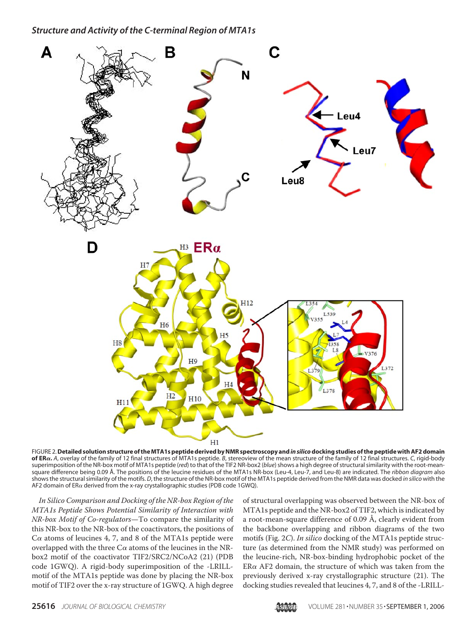

FIGURE 2.**Detailed solution structure of the MTA1s peptide derived by NMR spectroscopy and***in silico***docking studies of the peptide with AF2 domain of ER.** *A*, overlay of the family of 12 final structures of MTA1s peptide. *B*, stereoview of the mean structure of the family of 12 final structures. *C*, rigid-body superimposition of the NR-box motif of MTA1s peptide (*red*) to that of the TIF2 NR-box2 (*blue*) shows a high degree of structural similarity with the root-meansquare difference being 0.09 Å. The positions of the leucine residues of the MTA1s NR-box (Leu-4, Leu-7, and Leu-8) are indicated. The *ribbon diagram* also shows the structural similarity of the motifs. *D*, the structure of the NR-box motif of the MTA1s peptide derived from the NMR data was docked *in silico* with the AF2 domain of ER $\alpha$  derived from the x-ray crystallographic studies (PDB code 1GWQ).

In Silico Comparison and Docking of the NR-box Region of the MTA1s Peptide Shows Potential Similarity of Interaction with NR-box Motif of Co-regulators—To compare the similarity of this NR-box to the NR-box of the coactivators, the positions of  $C\alpha$  atoms of leucines 4, 7, and 8 of the MTA1s peptide were overlapped with the three  $C\alpha$  atoms of the leucines in the NRbox2 motif of the coactivator TIF2/SRC2/NCoA2 (21) (PDB code 1GWQ). A rigid-body superimposition of the -LRILLmotif of the MTA1s peptide was done by placing the NR-box motif of TIF2 over the x-ray structure of 1GWQ. A high degree

of structural overlapping was observed between the NR-box of MTA1s peptide and the NR-box2 of TIF2, which is indicated by a root-mean-square difference of 0.09 Å, clearly evident from the backbone overlapping and ribbon diagrams of the two motifs (Fig. 2C). In silico docking of the MTA1s peptide structure (as determined from the NMR study) was performed on the leucine-rich, NR-box-binding hydrophobic pocket of the  $ER\alpha$  AF2 domain, the structure of which was taken from the previously derived x-ray crystallographic structure (21). The docking studies revealed that leucines 4, 7, and 8 of the -LRILL-

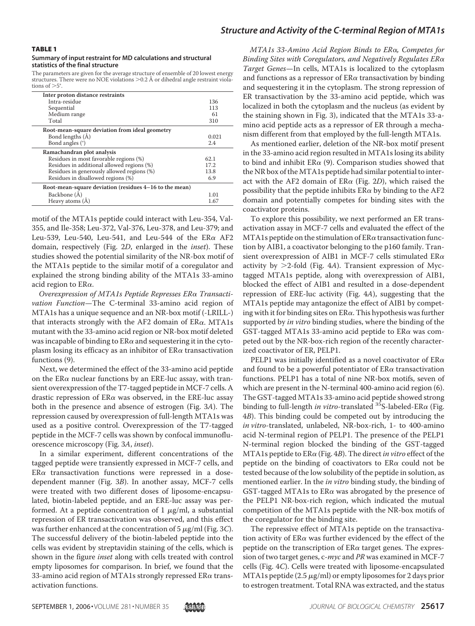#### TABLE 1

#### **Summary of input restraint for MD calculations and structural statistics of the final structure**

The parameters are given for the average structure of ensemble of 20 lowest energy structures. There were no NOE violations >0.2 Å or dihedral angle restraint violations of  $>5^\circ$ .

| 136   |
|-------|
| 113   |
| 61    |
| 310   |
|       |
| 0.021 |
| 2.4   |
|       |
| 62.1  |
| 17.2  |
| 13.8  |
| 6.9   |
|       |
| 1.01  |
| 1.67  |
|       |

motif of the MTA1s peptide could interact with Leu-354, Val-355, and Ile-358; Leu-372, Val-376, Leu-378, and Leu-379; and Leu-539, Leu-540, Leu-541, and Leu-544 of the  $ER\alpha$  AF2 domain, respectively (Fig. 2D, enlarged in the *inset*). These studies showed the potential similarity of the NR-box motif of the MTA1s peptide to the similar motif of a coregulator and explained the strong binding ability of the MTA1s 33-amino acid region to  $ER\alpha$ .

Overexpression of MTA1s Peptide Represses ERa Transactivation Function-The C-terminal 33-amino acid region of MTA1s has a unique sequence and an NR-box motif (-LRILL-) that interacts strongly with the AF2 domain of  $ER\alpha$ . MTA1s mutant with the 33-amino acid region or NR-box motif deleted was incapable of binding to  $ER\alpha$  and sequestering it in the cytoplasm losing its efficacy as an inhibitor of  $ER\alpha$  transactivation functions (9).

Next, we determined the effect of the 33-amino acid peptide on the ER $\alpha$  nuclear functions by an ERE-luc assay, with transient overexpression of the T7-tagged peptide in MCF-7 cells. A drastic repression of  $ER\alpha$  was observed, in the ERE-luc assay both in the presence and absence of estrogen (Fig. 3A). The repression caused by overexpression of full-length MTA1s was used as a positive control. Overexpression of the T7-tagged peptide in the MCF-7 cells was shown by confocal immunofluorescence microscopy (Fig. 3A, inset).

In a similar experiment, different concentrations of the tagged peptide were transiently expressed in MCF-7 cells, and  $ER\alpha$  transactivation functions were repressed in a dosedependent manner (Fig. 3B). In another assay, MCF-7 cells were treated with two different doses of liposome-encapsulated, biotin-labeled peptide, and an ERE-luc assay was performed. At a peptide concentration of  $1 \mu g/ml$ , a substantial repression of ER transactivation was observed, and this effect was further enhanced at the concentration of 5  $\mu$ g/ml (Fig. 3C). The successful delivery of the biotin-labeled peptide into the cells was evident by streptavidin staining of the cells, which is shown in the figure inset along with cells treated with control empty liposomes for comparison. In brief, we found that the 33-amino acid region of MTA1s strongly repressed  $ER\alpha$  transactivation functions.

MTA1s 33-Amino Acid Region Binds to ERa, Competes for Binding Sites with Coregulators, and Negatively Regulates  $E R \alpha$ Target Genes—In cells, MTA1s is localized to the cytoplasm and functions as a repressor of  $ER\alpha$  transactivation by binding and sequestering it in the cytoplasm. The strong repression of ER transactivation by the 33-amino acid peptide, which was localized in both the cytoplasm and the nucleus (as evident by the staining shown in Fig. 3), indicated that the MTA1s 33-amino acid peptide acts as a repressor of ER through a mechanism different from that employed by the full-length MTA1s.

As mentioned earlier, deletion of the NR-box motif present in the 33-amino acid region resulted in MTA1s losing its ability to bind and inhibit  $ER\alpha$  (9). Comparison studies showed that the NR box of the MTA1s peptide had similar potential to interact with the AF2 domain of  $ER\alpha$  (Fig. 2D), which raised the possibility that the peptide inhibits  $ER\alpha$  by binding to the AF2 domain and potentially competes for binding sites with the coactivator proteins.

To explore this possibility, we next performed an ER transactivation assay in MCF-7 cells and evaluated the effect of the MTA1s peptide on the stimulation of  $ER\alpha$  transactivation function by AIB1, a coactivator belonging to the p160 family. Transient overexpression of AIB1 in MCF-7 cells stimulated  $ER\alpha$ activity by  $>$ 2-fold (Fig. 4A). Transient expression of Myctagged MTA1s peptide, along with overexpression of AIB1, blocked the effect of AIB1 and resulted in a dose-dependent repression of ERE-luc activity (Fig. 4A), suggesting that the MTA1s peptide may antagonize the effect of AIB1 by competing with it for binding sites on  $ER\alpha$ . This hypothesis was further supported by *in vitro* binding studies, where the binding of the GST-tagged MTA1s 33-amino acid peptide to  $ER\alpha$  was competed out by the NR-box-rich region of the recently characterized coactivator of ER, PELP1.

PELP1 was initially identified as a novel coactivator of  $ER\alpha$ and found to be a powerful potentiator of  $ER\alpha$  transactivation functions. PELP1 has a total of nine NR-box motifs, seven of which are present in the N-terminal 400-amino acid region (6). The GST-tagged MTA1s 33-amino acid peptide showed strong binding to full-length in vitro-translated  $^{35}$ S-labeled-ER $\alpha$  (Fig. 4B). This binding could be competed out by introducing the in vitro-translated, unlabeled, NR-box-rich, 1- to 400-amino acid N-terminal region of PELP1. The presence of the PELP1 N-terminal region blocked the binding of the GST-tagged MTA1s peptide to ERa (Fig. 4B). The direct in vitro effect of the peptide on the binding of coactivators to  $ER\alpha$  could not be tested because of the low solubility of the peptide in solution, as mentioned earlier. In the in vitro binding study, the binding of GST-tagged MTA1s to  $ER\alpha$  was abrogated by the presence of the PELP1 NR-box-rich region, which indicated the mutual competition of the MTA1s peptide with the NR-box motifs of the coregulator for the binding site.

The repressive effect of MTA1s peptide on the transactivation activity of  $ER\alpha$  was further evidenced by the effect of the peptide on the transcription of  $ER\alpha$  target genes. The expression of two target genes, c-myc and PR was examined in MCF-7 cells (Fig. 4C). Cells were treated with liposome-encapsulated MTA1s peptide  $(2.5 \mu g/ml)$  or empty liposomes for 2 days prior to estrogen treatment. Total RNA was extracted, and the status

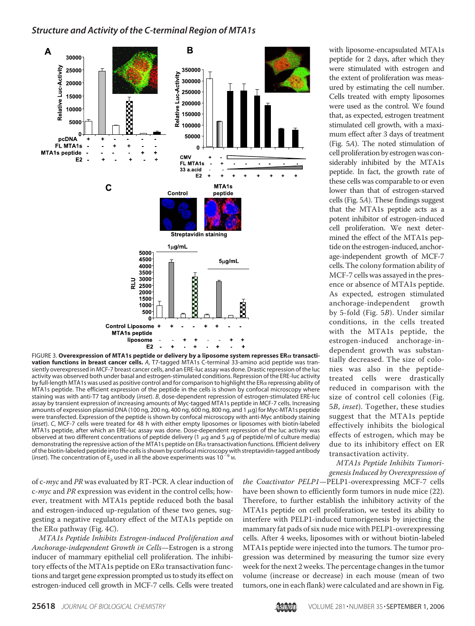

FIGURE 3. Overexpression of MTA1s peptide or delivery by a liposome system represses ERa transacti**vation functions in breast cancer cells.** *A*, T7-tagged MTA1s C-terminal 33-amino acid peptide was transiently overexpressed in MCF-7 breast cancer cells, and an ERE-luc assay was done. Drastic repression of the luc activity was observed both under basal and estrogen-stimulated conditions. Repression of the ERE-luc activity by full-length MTA1s was used as positive control and for comparison to highlight the ER $\alpha$  repressing ability of MTA1s peptide. The efficient expression of the peptide in the cells is shown by confocal microscopy where staining was with anti-T7 tag antibody (*inset*). *B*, dose-dependent repression of estrogen-stimulated ERE-luc assay by transient expression of increasing amounts of Myc-tagged MTA1s peptide in MCF-7 cells. Increasing amounts of expression plasmid DNA (100 ng, 200 ng, 400 ng, 600 ng, 800 ng, and 1  $\mu$ g) for Myc-MTA1s peptide were transfected. Expression of the peptide is shown by confocal microscopy with anti-Myc antibody staining (*inset*). *C*, MCF-7 cells were treated for 48 h with either empty liposomes or liposomes with biotin-labeled MTA1s peptide, after which an ERE-luc assay was done. Dose-dependent repression of the luc activity was observed at two different concentrations of peptide delivery (1  $\mu$ g and 5  $\mu$ g of peptide/ml of culture media) demonstrating the repressive action of the MTA1s peptide on ER $\alpha$  transactivation functions. Efficient delivery of the biotin-labeled peptide into the cells is shown by confocal microscopy with streptavidin-tagged antibody (*inset*). The concentration of  $E_2$  used in all the above experiments was 10<sup>-9</sup> M.

of c-myc and PR was evaluated by RT-PCR. A clear induction of c-myc and PR expression was evident in the control cells; however, treatment with MTA1s peptide reduced both the basal and estrogen-induced up-regulation of these two genes, suggesting a negative regulatory effect of the MTA1s peptide on the ER $\alpha$  pathway (Fig. 4C).

MTA1s Peptide Inhibits Estrogen-induced Proliferation and Anchorage-independent Growth in Cells—Estrogen is a strong inducer of mammary epithelial cell proliferation. The inhibitory effects of the MTA1s peptide on  $ER\alpha$  transactivation functions and target gene expression prompted us to study its effect on estrogen-induced cell growth in MCF-7 cells. Cells were treated

with liposome-encapsulated MTA1s peptide for 2 days, after which they were stimulated with estrogen and the extent of proliferation was measured by estimating the cell number. Cells treated with empty liposomes were used as the control. We found that, as expected, estrogen treatment stimulated cell growth, with a maximum effect after 3 days of treatment (Fig. 5A). The noted stimulation of cell proliferation by estrogen was considerably inhibited by the MTA1s peptide. In fact, the growth rate of these cells was comparable to or even lower than that of estrogen-starved cells (Fig. 5A). These findings suggest that the MTA1s peptide acts as a potent inhibitor of estrogen-induced cell proliferation. We next determined the effect of the MTA1s peptide on the estrogen-induced, anchorage-independent growth of MCF-7 cells. The colony formation ability of MCF-7 cells was assayed in the presence or absence of MTA1s peptide. As expected, estrogen stimulated anchorage-independent growth by 5-fold (Fig. 5B). Under similar conditions, in the cells treated with the MTA1s peptide, the estrogen-induced anchorage-independent growth was substantially decreased. The size of colonies was also in the peptidetreated cells were drastically reduced in comparison with the size of control cell colonies (Fig. 5B, inset). Together, these studies suggest that the MTA1s peptide effectively inhibits the biological effects of estrogen, which may be due to its inhibitory effect on ER transactivation activity.

MTA1s Peptide Inhibits Tumorigenesis Induced by Overexpression of

the Coactivator PELP1—PELP1-overexpressing MCF-7 cells have been shown to efficiently form tumors in nude mice (22). Therefore, to further establish the inhibitory activity of the MTA1s peptide on cell proliferation, we tested its ability to interfere with PELP1-induced tumorigenesis by injecting the mammary fat pads of six nude mice with PELP1-overexpressing cells. After 4 weeks, liposomes with or without biotin-labeled MTA1s peptide were injected into the tumors. The tumor progression was determined by measuring the tumor size every week for the next 2 weeks. The percentage changes in the tumor volume (increase or decrease) in each mouse (mean of two tumors, one in each flank) were calculated and are shown in Fig.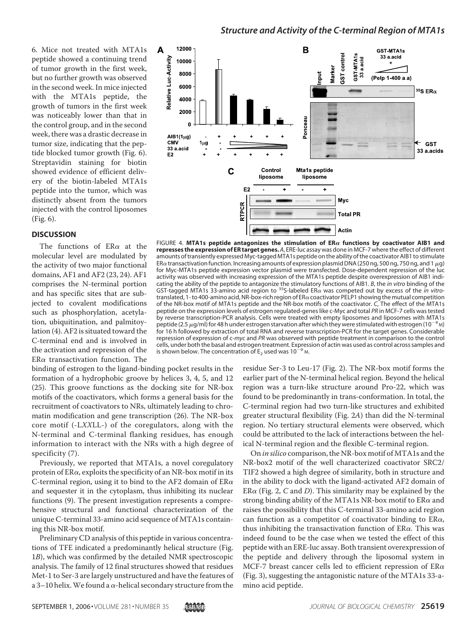6. Mice not treated with MTA1s peptide showed a continuing trend of tumor growth in the first week, but no further growth was observed in the second week. In mice injected with the MTA1s peptide, the growth of tumors in the first week was noticeably lower than that in the control group, and in the second week, there was a drastic decrease in tumor size, indicating that the peptide blocked tumor growth (Fig. 6). Streptavidin staining for biotin showed evidence of efficient delivery of the biotin-labeled MTA1s peptide into the tumor, which was distinctly absent from the tumors injected with the control liposomes (Fig. 6).

### **DISCUSSION**

The functions of  $ER\alpha$  at the molecular level are modulated by the activity of two major functional domains, AF1 and AF2 (23, 24). AF1 comprises the N-terminal portion and has specific sites that are subjected to covalent modifications such as phosphorylation, acetylation, ubiquitination, and palmitoylation (4). AF2 is situated toward the C-terminal end and is involved in the activation and repression of the  $ER\alpha$  transactivation function. The



FIGURE 4. MTA1s peptide antagonizes the stimulation of ER $\alpha$  functions by coactivator AIB1 and **represses the expression of ER target genes.** *A*, ERE-luc assay was done in MCF-7 where the effect of different amounts of transiently expressed Myc-tagged MTA1s peptide on the ability of the coactivator AIB1 to stimulate ER $\alpha$  transactivation function. Increasing amounts of expression plasmid DNA (250 ng, 500 ng, 750 ng, and 1  $\mu$ g) for Myc-MTA1s peptide expression vector plasmid were transfected. Dose-dependent repression of the luc activity was observed with increasing expression of the MTA1s peptide despite overexpression of AIB1 indicating the ability of the peptide to antagonize the stimulatory functions of AIB1. *B*, the *in vitro* binding of the GST-tagged MTA1s 33-amino acid region to <sup>35</sup>S-labeled ERa was competed out by excess of the *in vitro*translated, 1- to 400-amino acid, NR-box-rich region of ER $\alpha$  coactivator PELP1 showing the mutual competition of the NR-box motif of MTA1s peptide and the NR-box motifs of the coactivator. *C*, The effect of the MTA1s peptide on the expression levels of estrogen regulated-genes like c-Myc and total *PR* in MCF-7 cells was tested by reverse transcription-PCR analysis. Cells were treated with empty liposomes and liposomes with MTA1s peptide (2.5  $\mu$ g/ml) for 48 h under estrogen starvation after which they were stimulated with estrogen (10<sup>-9</sup> M) for 16 h followed by extraction of total RNA and reverse transcription-PCR for the target genes. Considerable repression of expression of c-*myc* and *PR* was observed with peptide treatment in comparison to the control cells, under both the basal and estrogen treatment. Expression of actin was used as control across samples and is shown below. The concentration of  $E_2$  used was 10<sup>-9</sup> M.

binding of estrogen to the ligand-binding pocket results in the formation of a hydrophobic groove by helices 3, 4, 5, and 12 (25). This groove functions as the docking site for NR-box motifs of the coactivators, which forms a general basis for the recruitment of coactivators to NRs, ultimately leading to chromatin modification and gene transcription (26). The NR-box core motif (-LXXLL-) of the coregulators, along with the N-terminal and C-terminal flanking residues, has enough information to interact with the NRs with a high degree of specificity (7).

Previously, we reported that MTA1s, a novel coregulatory protein of  $ER\alpha$ , exploits the specificity of an NR-box motif in its C-terminal region, using it to bind to the AF2 domain of  $ER\alpha$ and sequester it in the cytoplasm, thus inhibiting its nuclear functions (9). The present investigation represents a comprehensive structural and functional characterization of the unique C-terminal 33-amino acid sequence of MTA1s containing this NR-box motif.

Preliminary CD analysis of this peptide in various concentrations of TFE indicated a predominantly helical structure (Fig. 1B), which was confirmed by the detailed NMR spectroscopic analysis. The family of 12 final structures showed that residues Met-1 to Ser-3 are largely unstructured and have the features of a 3–10 helix. We found a  $\alpha$ -helical secondary structure from the

residue Ser-3 to Leu-17 (Fig. 2). The NR-box motif forms the earlier part of the N-terminal helical region. Beyond the helical region was a turn-like structure around Pro-22, which was found to be predominantly in trans-conformation. In total, the C-terminal region had two turn-like structures and exhibited greater structural flexibility (Fig. 2A) than did the N-terminal region. No tertiary structural elements were observed, which could be attributed to the lack of interactions between the helical N-terminal region and the flexible C-terminal region.

On in silico comparison, the NR-box motif of MTA1s and the NR-box2 motif of the well characterized coactivator SRC2/ TIF2 showed a high degree of similarity, both in structure and in the ability to dock with the ligand-activated AF2 domain of  $ER\alpha$  (Fig. 2, C and D). This similarity may be explained by the strong binding ability of the MTA1s NR-box motif to ER $\alpha$  and raises the possibility that this C-terminal 33-amino acid region can function as a competitor of coactivator binding to  $ER\alpha$ , thus inhibiting the transactivation function of  $ER\alpha$ . This was indeed found to be the case when we tested the effect of this peptide with an ERE-luc assay. Both transient overexpression of the peptide and delivery through the liposomal system in MCF-7 breast cancer cells led to efficient repression of ER $\alpha$ (Fig. 3), suggesting the antagonistic nature of the MTA1s 33-amino acid peptide.

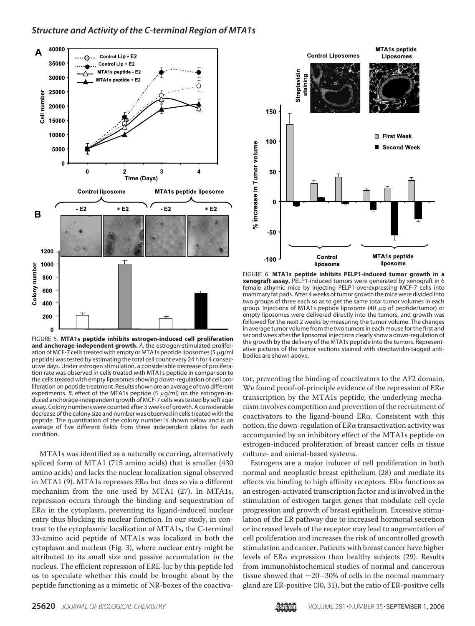

FIGURE 5. **MTA1s peptide inhibits estrogen-induced cell proliferation and anchorage-independent growth.** *A*, the estrogen-stimulated proliferation of MCF-7 cells treated with empty or MTA1s peptide liposomes (5  $\mu$ g/ml peptide) was tested by estimating the total cell count every 24 h for 4 consecutive days. Under estrogen stimulation, a considerable decrease of proliferation rate was observed in cells treated with MTA1s peptide in comparison to the cells treated with empty liposomes showing down-regulation of cell proliferation on peptide treatment. Results shown are an average of two different experiments. *B*, effect of the MTA1s peptide (5  $\mu$ g/ml) on the estrogen-induced anchorage-independent growth of MCF-7 cells was tested by soft agar assay. Colony numbers were counted after 3 weeks of growth. A considerable decrease of the colony size and number was observed in cells treated with the peptide. The quantitation of the colony number is shown below and is an average of five different fields from three independent plates for each condition.

MTA1s was identified as a naturally occurring, alternatively spliced form of MTA1 (715 amino acids) that is smaller (430 amino acids) and lacks the nuclear localization signal observed in MTA1 (9). MTA1s represses ER $\alpha$  but does so via a different mechanism from the one used by MTA1 (27). In MTA1s, repression occurs through the binding and sequestration of  $ER\alpha$  in the cytoplasm, preventing its ligand-induced nuclear entry thus blocking its nuclear function. In our study, in contrast to the cytoplasmic localization of MTA1s, the C-terminal 33-amino acid peptide of MTA1s was localized in both the cytoplasm and nucleus (Fig. 3), where nuclear entry might be attributed to its small size and passive accumulation in the nucleus. The efficient repression of ERE-luc by this peptide led us to speculate whether this could be brought about by the peptide functioning as a mimetic of NR-boxes of the coactiva-



FIGURE 6. **MTA1s peptide inhibits PELP1-induced tumor growth in a xenograft assay.** PELP1-induced tumors were generated by xenograft in 6 female athymic mice by injecting PELP1-overexpressing MCF-7 cells into mammary fat pads. After 4 weeks of tumor growth the mice were divided into two groups of three each so as to get the same total tumor volumes in each group. Injections of MTA1s peptide liposome (40  $\mu$ g of peptide/tumor) or empty liposomes were delivered directly into the tumors, and growth was followed for the next 2 weeks by measuring the tumor volume. The changes in average tumor volume from the two tumors in each mouse for the first and second week after the liposomal injections clearly show a down-regulation of the growth by the delivery of the MTA1s peptide into the tumors. Representative pictures of the tumor sections stained with streptavidin-tagged antibodies are shown above.

tor, preventing the binding of coactivators to the AF2 domain. We found proof-of-principle evidence of the repression of  $ER\alpha$ transcription by the MTA1s peptide; the underlying mechanism involves competition and prevention of the recruitment of coactivators to the ligand-bound  $ER\alpha$ . Consistent with this notion, the down-regulation of  $ER\alpha$  transactivation activity was accompanied by an inhibitory effect of the MTA1s peptide on estrogen-induced proliferation of breast cancer cells in tissue culture- and animal-based systems.

Estrogens are a major inducer of cell proliferation in both normal and neoplastic breast epithelium (28) and mediate its effects via binding to high affinity receptors. ER $\alpha$  functions as an estrogen-activated transcription factor and is involved in the stimulation of estrogen target genes that modulate cell cycle progression and growth of breast epithelium. Excessive stimulation of the ER pathway due to increased hormonal secretion or increased levels of the receptor may lead to augmentation of cell proliferation and increases the risk of uncontrolled growth stimulation and cancer. Patients with breast cancer have higher levels of  $ER\alpha$  expression than healthy subjects (29). Results from immunohistochemical studies of normal and cancerous tissue showed that  $\sim$ 20–30% of cells in the normal mammary gland are ER-positive (30, 31), but the ratio of ER-positive cells